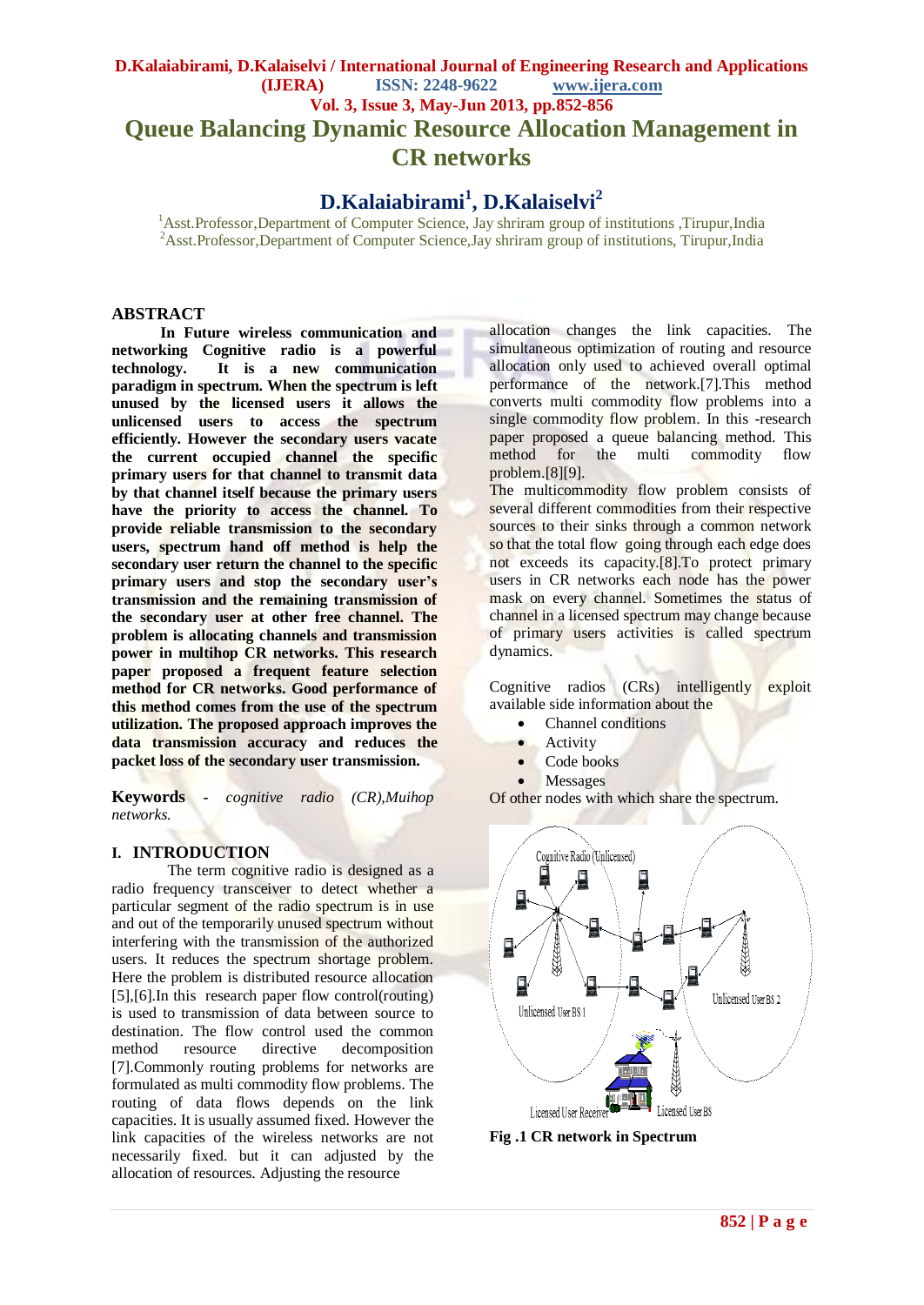# **D.Kalaiabirami, D.Kalaiselvi / International Journal of Engineering Research and Applications (IJERA) ISSN: 2248-9622 www.ijera.com Vol. 3, Issue 3, May-Jun 2013, pp.852-856 Queue Balancing Dynamic Resource Allocation Management in CR networks**

# **D.Kalaiabirami<sup>1</sup> , D.Kalaiselvi<sup>2</sup>**

<sup>1</sup>Asst.Professor,Department of Computer Science, Jay shriram group of institutions ,Tirupur,India <sup>2</sup>Asst.Professor,Department of Computer Science,Jay shriram group of institutions, Tirupur,India

# **ABSTRACT**

**In Future wireless communication and networking Cognitive radio is a powerful technology. It is a new communication paradigm in spectrum. When the spectrum is left unused by the licensed users it allows the unlicensed users to access the spectrum efficiently. However the secondary users vacate the current occupied channel the specific primary users for that channel to transmit data by that channel itself because the primary users have the priority to access the channel. To provide reliable transmission to the secondary users, spectrum hand off method is help the secondary user return the channel to the specific primary users and stop the secondary user's transmission and the remaining transmission of the secondary user at other free channel. The problem is allocating channels and transmission power in multihop CR networks. This research paper proposed a frequent feature selection method for CR networks. Good performance of this method comes from the use of the spectrum utilization. The proposed approach improves the data transmission accuracy and reduces the packet loss of the secondary user transmission.**

**Keywords -** *cognitive radio (CR),Muihop networks.* 

# **I. INTRODUCTION**

The term cognitive radio is designed as a radio frequency transceiver to detect whether a particular segment of the radio spectrum is in use and out of the temporarily unused spectrum without interfering with the transmission of the authorized users. It reduces the spectrum shortage problem. Here the problem is distributed resource allocation [5],[6].In this research paper flow control(routing) is used to transmission of data between source to destination. The flow control used the common method resource directive decomposition [7].Commonly routing problems for networks are formulated as multi commodity flow problems. The routing of data flows depends on the link capacities. It is usually assumed fixed. However the link capacities of the wireless networks are not necessarily fixed. but it can adjusted by the allocation of resources. Adjusting the resource

allocation changes the link capacities. The simultaneous optimization of routing and resource allocation only used to achieved overall optimal performance of the network.[7].This method converts multi commodity flow problems into a single commodity flow problem. In this -research paper proposed a queue balancing method. This<br>method for the multi commodity flow method for the multi commodity flow problem.[8][9].

The multicommodity flow problem consists of several different commodities from their respective sources to their sinks through a common network so that the total flow going through each edge does not exceeds its capacity.[8].To protect primary users in CR networks each node has the power mask on every channel. Sometimes the status of channel in a licensed spectrum may change because of primary users activities is called spectrum dynamics.

Cognitive radios (CRs) intelligently exploit available side information about the

- Channel conditions
- Activity
- Code books
- Messages

Of other nodes with which share the spectrum.



**Fig .1 CR network in Spectrum**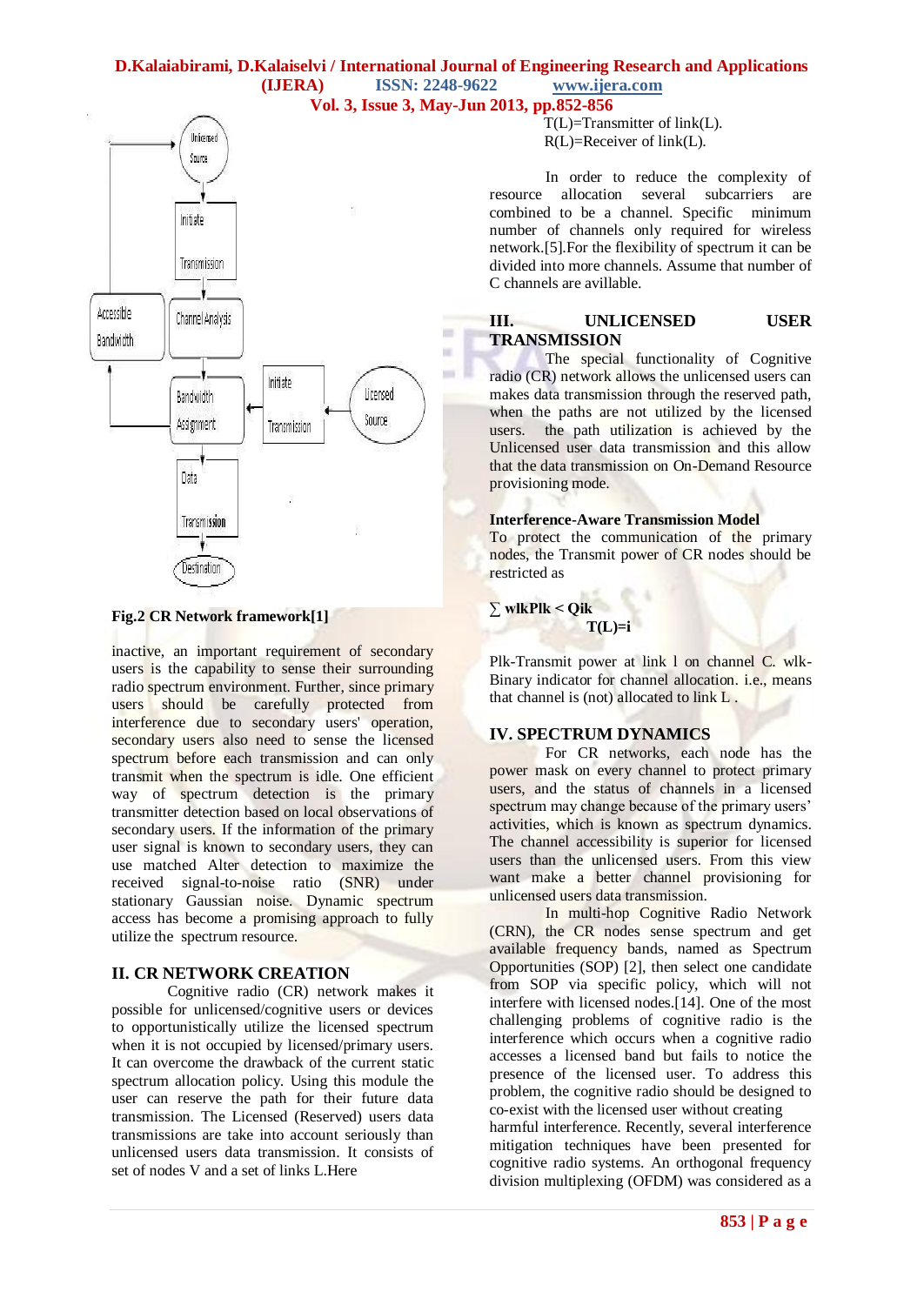#### **D.Kalaiabirami, D.Kalaiselvi / International Journal of Engineering Research and Applications (IJERA) ISSN: 2248-9622 www.ijera.com Vol. 3, Issue 3, May-Jun 2013, pp.852-856**



#### **Fig.2 CR Network framework[1]**

inactive, an important requirement of secondary users is the capability to sense their surrounding radio spectrum environment. Further, since primary users should be carefully protected from interference due to secondary users' operation, secondary users also need to sense the licensed spectrum before each transmission and can only transmit when the spectrum is idle. One efficient way of spectrum detection is the primary transmitter detection based on local observations of secondary users. If the information of the primary user signal is known to secondary users, they can use matched Alter detection to maximize the received signal-to-noise ratio (SNR) under stationary Gaussian noise. Dynamic spectrum access has become a promising approach to fully utilize the spectrum resource.

# **II. CR NETWORK CREATION**

Cognitive radio (CR) network makes it possible for unlicensed/cognitive users or devices to opportunistically utilize the licensed spectrum when it is not occupied by licensed/primary users. It can overcome the drawback of the current static spectrum allocation policy. Using this module the user can reserve the path for their future data transmission. The Licensed (Reserved) users data transmissions are take into account seriously than unlicensed users data transmission. It consists of set of nodes V and a set of links L.Here

 $T(L)=Transmitter of link(L).$ R(L)=Receiver of link(L).

In order to reduce the complexity of resource allocation several subcarriers are combined to be a channel. Specific minimum number of channels only required for wireless network.[5].For the flexibility of spectrum it can be divided into more channels. Assume that number of C channels are avillable.

# **III. UNLICENSED USER TRANSMISSION**

The special functionality of Cognitive radio (CR) network allows the unlicensed users can makes data transmission through the reserved path, when the paths are not utilized by the licensed users. the path utilization is achieved by the Unlicensed user data transmission and this allow that the data transmission on On-Demand Resource provisioning mode.

#### **Interference-Aware Transmission Model**

To protect the communication of the primary nodes, the Transmit power of CR nodes should be restricted as

#### **∑ wlkPlk < Qik**  $T(L)=i$

Plk-Transmit power at link l on channel C. wlk-Binary indicator for channel allocation. i.e., means that channel is (not) allocated to link L .

#### **IV. SPECTRUM DYNAMICS**

For CR networks, each node has the power mask on every channel to protect primary users, and the status of channels in a licensed spectrum may change because of the primary users' activities, which is known as spectrum dynamics. The channel accessibility is superior for licensed users than the unlicensed users. From this view want make a better channel provisioning for unlicensed users data transmission.

In multi-hop Cognitive Radio Network (CRN), the CR nodes sense spectrum and get available frequency bands, named as Spectrum Opportunities (SOP) [2], then select one candidate from SOP via specific policy, which will not interfere with licensed nodes.[14]. One of the most challenging problems of cognitive radio is the interference which occurs when a cognitive radio accesses a licensed band but fails to notice the presence of the licensed user. To address this problem, the cognitive radio should be designed to co-exist with the licensed user without creating

harmful interference. Recently, several interference mitigation techniques have been presented for cognitive radio systems. An orthogonal frequency division multiplexing (OFDM) was considered as a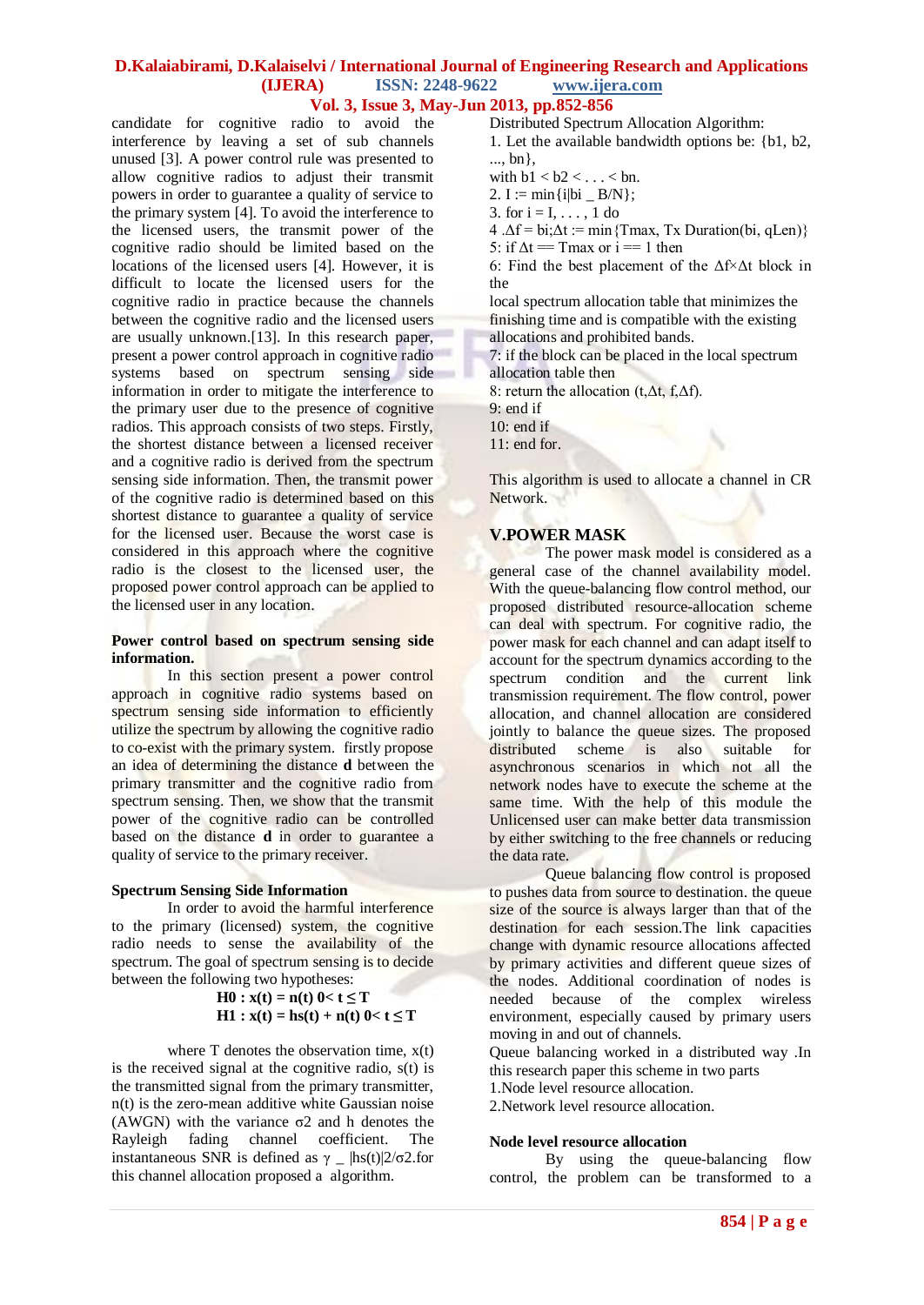#### **D.Kalaiabirami, D.Kalaiselvi / International Journal of Engineering Research and Applications (IJERA) ISSN: 2248-9622 www.ijera.com Vol. 3, Issue 3, May-Jun 2013, pp.852-856**

candidate for cognitive radio to avoid the interference by leaving a set of sub channels unused [3]. A power control rule was presented to allow cognitive radios to adjust their transmit powers in order to guarantee a quality of service to the primary system [4]. To avoid the interference to the licensed users, the transmit power of the cognitive radio should be limited based on the locations of the licensed users [4]. However, it is difficult to locate the licensed users for the cognitive radio in practice because the channels between the cognitive radio and the licensed users are usually unknown.[13]. In this research paper, present a power control approach in cognitive radio systems based on spectrum sensing side information in order to mitigate the interference to the primary user due to the presence of cognitive radios. This approach consists of two steps. Firstly, the shortest distance between a licensed receiver and a cognitive radio is derived from the spectrum sensing side information. Then, the transmit power of the cognitive radio is determined based on this shortest distance to guarantee a quality of service for the licensed user. Because the worst case is considered in this approach where the cognitive radio is the closest to the licensed user, the proposed power control approach can be applied to the licensed user in any location.

#### **Power control based on spectrum sensing side information.**

In this section present a power control approach in cognitive radio systems based on spectrum sensing side information to efficiently utilize the spectrum by allowing the cognitive radio to co-exist with the primary system. firstly propose an idea of determining the distance **d** between the primary transmitter and the cognitive radio from spectrum sensing. Then, we show that the transmit power of the cognitive radio can be controlled based on the distance **d** in order to guarantee a quality of service to the primary receiver.

# **Spectrum Sensing Side Information**

In order to avoid the harmful interference to the primary (licensed) system, the cognitive radio needs to sense the availability of the spectrum. The goal of spectrum sensing is to decide between the following two hypotheses:

$$
H0: x(t) = n(t) 0 < t \le T
$$
  
 
$$
H1: x(t) = hs(t) + n(t) 0 < t \le T
$$

where  $T$  denotes the observation time,  $x(t)$ is the received signal at the cognitive radio,  $s(t)$  is the transmitted signal from the primary transmitter, n(t) is the zero-mean additive white Gaussian noise (AWGN) with the variance  $\sigma$ 2 and h denotes the Rayleigh fading channel coefficient. The instantaneous SNR is defined as  $γ$  \_ |hs(t)|2/σ2.for this channel allocation proposed a algorithm.

Distributed Spectrum Allocation Algorithm:

- 1. Let the available bandwidth options be: {b1, b2, ..., bn},
- with  $b1 < b2 < \ldots < b$ n.
- 2.  $I := min\{i|bi B/N\};$
- 3. for  $i = 1, \ldots, 1$  do
- $4 \Delta f = bi \Delta t := min \{Tmax, Tx \; \text{Duration}(bi, qLen) \}$
- 5: if  $\Delta t = T$  max or  $i == 1$  then

6: Find the best placement of the Δf×Δt block in the

local spectrum allocation table that minimizes the finishing time and is compatible with the existing allocations and prohibited bands.

7: if the block can be placed in the local spectrum allocation table then

8: return the allocation (t,Δt, f,Δf).

9: end if

10: end if

11: end for.

This algorithm is used to allocate a channel in CR Network.

# **V.POWER MASK**

The power mask model is considered as a general case of the channel availability model. With the queue-balancing flow control method, our proposed distributed resource-allocation scheme can deal with spectrum. For cognitive radio, the power mask for each channel and can adapt itself to account for the spectrum dynamics according to the spectrum condition and the current link transmission requirement. The flow control, power allocation, and channel allocation are considered jointly to balance the queue sizes. The proposed distributed scheme is also suitable for asynchronous scenarios in which not all the network nodes have to execute the scheme at the same time. With the help of this module the Unlicensed user can make better data transmission by either switching to the free channels or reducing the data rate.

Queue balancing flow control is proposed to pushes data from source to destination. the queue size of the source is always larger than that of the destination for each session.The link capacities change with dynamic resource allocations affected by primary activities and different queue sizes of the nodes. Additional coordination of nodes is needed because of the complex wireless environment, especially caused by primary users moving in and out of channels.

Queue balancing worked in a distributed way .In this research paper this scheme in two parts

1.Node level resource allocation.

2.Network level resource allocation.

#### **Node level resource allocation**

By using the queue-balancing flow control, the problem can be transformed to a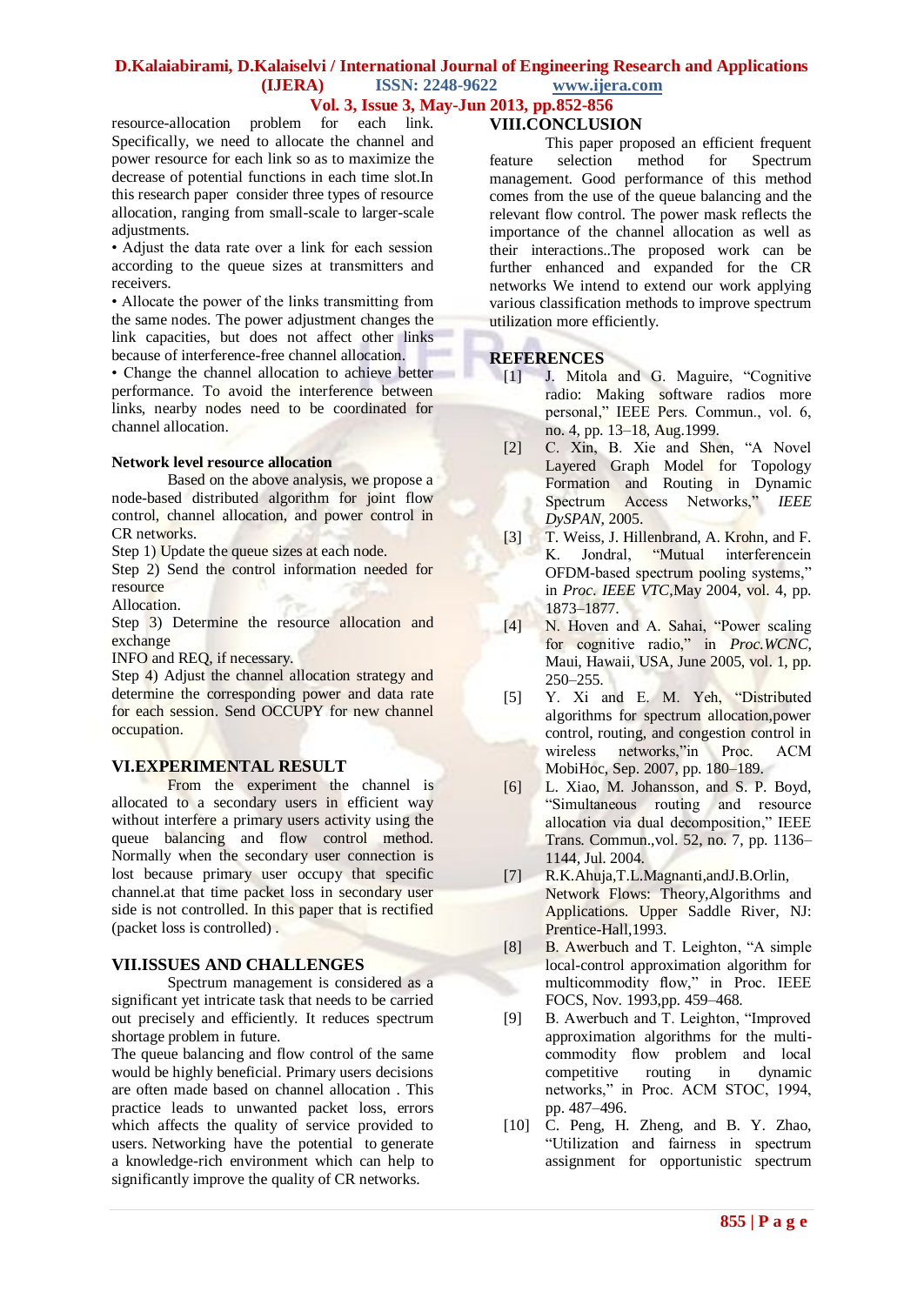# **D.Kalaiabirami, D.Kalaiselvi / International Journal of Engineering Research and Applications (IJERA) ISSN: 2248-9622 www.ijera.com**

**Vol. 3, Issue 3, May-Jun 2013, pp.852-856**

resource-allocation problem for each link. Specifically, we need to allocate the channel and power resource for each link so as to maximize the decrease of potential functions in each time slot.In this research paper consider three types of resource allocation, ranging from small-scale to larger-scale adjustments.

• Adjust the data rate over a link for each session according to the queue sizes at transmitters and receivers.

• Allocate the power of the links transmitting from the same nodes. The power adjustment changes the link capacities, but does not affect other links because of interference-free channel allocation.

• Change the channel allocation to achieve better performance. To avoid the interference between links, nearby nodes need to be coordinated for channel allocation.

### **Network level resource allocation**

Based on the above analysis, we propose a node-based distributed algorithm for joint flow control, channel allocation, and power control in CR networks.

Step 1) Update the queue sizes at each node.

Step 2) Send the control information needed for resource

Allocation.

Step 3) Determine the resource allocation and exchange

INFO and REQ, if necessary.

Step 4) Adjust the channel allocation strategy and determine the corresponding power and data rate for each session. Send OCCUPY for new channel occupation.

# **VI.EXPERIMENTAL RESULT**

From the experiment the channel is allocated to a secondary users in efficient way without interfere a primary users activity using the queue balancing and flow control method. Normally when the secondary user connection is lost because primary user occupy that specific channel.at that time packet loss in secondary user side is not controlled. In this paper that is rectified (packet loss is controlled) .

# **VII.ISSUES AND CHALLENGES**

Spectrum management is considered as a significant yet intricate task that needs to be carried out precisely and efficiently. It reduces spectrum shortage problem in future.

The queue balancing and flow control of the same would be highly beneficial. Primary users decisions are often made based on channel allocation . This practice leads to unwanted packet loss, errors which affects the quality of service provided to users. Networking have the potential to generate a knowledge-rich environment which can help to significantly improve the quality of CR networks.

# **VIII.CONCLUSION**

This paper proposed an efficient frequent feature selection method for Spectrum management. Good performance of this method comes from the use of the queue balancing and the relevant flow control. The power mask reflects the importance of the channel allocation as well as their interactions..The proposed work can be further enhanced and expanded for the CR networks We intend to extend our work applying various classification methods to improve spectrum utilization more efficiently.

### **REFERENCES**

- [1] J. Mitola and G. Maguire, "Cognitive radio: Making software radios more personal," IEEE Pers. Commun., vol. 6, no. 4, pp. 13–18, Aug.1999.
- [2] C. Xin, B. Xie and Shen, "A Novel Layered Graph Model for Topology Formation and Routing in Dynamic Spectrum Access Networks," *IEEE DySPAN*, 2005.
- [3] T. Weiss, J. Hillenbrand, A. Krohn, and F. K. Jondral, "Mutual interferencein OFDM-based spectrum pooling systems," in *Proc. IEEE VTC*,May 2004, vol. 4, pp. 1873–1877.
- [4] N. Hoven and A. Sahai, "Power scaling for cognitive radio," in *Proc.WCNC*, Maui, Hawaii, USA, June 2005, vol. 1, pp. 250–255.
- [5] Y. Xi and E. M. Yeh, "Distributed algorithms for spectrum allocation,power control, routing, and congestion control in wireless networks,"in Proc. ACM MobiHoc, Sep. 2007, pp. 180–189.
- [6] L. Xiao, M. Johansson, and S. P. Boyd, "Simultaneous routing and resource allocation via dual decomposition," IEEE Trans. Commun.,vol. 52, no. 7, pp. 1136– 1144, Jul. 2004.
- [7] R.K.Ahuja,T.L.Magnanti,andJ.B.Orlin, Network Flows: Theory,Algorithms and Applications. Upper Saddle River, NJ: Prentice-Hall, 1993.
- [8] B. Awerbuch and T. Leighton, "A simple local-control approximation algorithm for multicommodity flow," in Proc. IEEE FOCS, Nov. 1993,pp. 459–468.
- [9] B. Awerbuch and T. Leighton, "Improved approximation algorithms for the multicommodity flow problem and local competitive routing in dynamic networks," in Proc. ACM STOC, 1994, pp. 487–496.
- [10] C. Peng, H. Zheng, and B. Y. Zhao, "Utilization and fairness in spectrum assignment for opportunistic spectrum